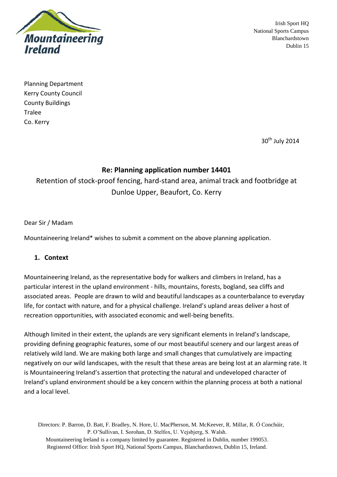

Irish Sport HQ National Sports Campus Blanchardstown Dublin 15

Planning Department Kerry County Council County Buildings **Tralee** Co. Kerry

30<sup>th</sup> July 2014

# **Re: Planning application number 14401**

Retention of stock-proof fencing, hard-stand area, animal track and footbridge at Dunloe Upper, Beaufort, Co. Kerry

#### Dear Sir / Madam

Mountaineering Ireland\* wishes to submit a comment on the above planning application.

### **1. Context**

Mountaineering Ireland, as the representative body for walkers and climbers in Ireland, has a particular interest in the upland environment - hills, mountains, forests, bogland, sea cliffs and associated areas. People are drawn to wild and beautiful landscapes as a counterbalance to everyday life, for contact with nature, and for a physical challenge. Ireland's upland areas deliver a host of recreation opportunities, with associated economic and well-being benefits.

Although limited in their extent, the uplands are very significant elements in Ireland's landscape, providing defining geographic features, some of our most beautiful scenery and our largest areas of relatively wild land. We are making both large and small changes that cumulatively are impacting negatively on our wild landscapes, with the result that these areas are being lost at an alarming rate. It is Mountaineering Ireland's assertion that protecting the natural and undeveloped character of Ireland's upland environment should be a key concern within the planning process at both a national and a local level.

Directors: P. Barron, D. Batt, F. Bradley, N. Hore, U. MacPherson, M. McKeever, R. Millar, R. Ó Conchúir, P. O'Sullivan, I. Sorohan, D. Stelfox, U. Vejsbjerg, S. Walsh. Mountaineering Ireland is a company limited by guarantee. Registered in Dublin, number 199053. Registered Office: Irish Sport HQ, National Sports Campus, Blanchardstown, Dublin 15, Ireland.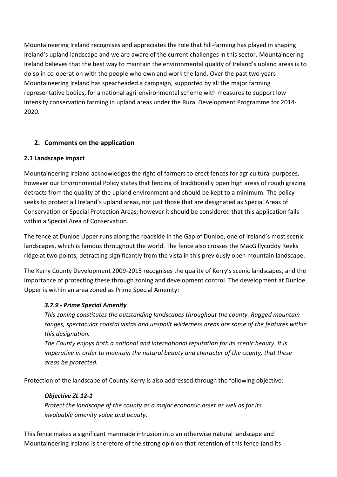Mountaineering Ireland recognises and appreciates the role that hill-farming has played in shaping Ireland's upland landscape and we are aware of the current challenges in this sector. Mountaineering Ireland believes that the best way to maintain the environmental quality of Ireland's upland areas is to do so in co-operation with the people who own and work the land. Over the past two years Mountaineering Ireland has spearheaded a campaign, supported by all the major farming representative bodies, for a national agri-environmental scheme with measures to support low intensity conservation farming in upland areas under the Rural Development Programme for 2014- 2020.

## **2. Comments on the application**

### **2.1 Landscape impact**

Mountaineering Ireland acknowledges the right of farmers to erect fences for agricultural purposes, however our Environmental Policy states that fencing of traditionally open high areas of rough grazing detracts from the quality of the upland environment and should be kept to a minimum. The policy seeks to protect all Ireland's upland areas, not just those that are designated as Special Areas of Conservation or Special Protection Areas; however it should be considered that this application falls within a Special Area of Conservation.

The fence at Dunloe Upper runs along the roadside in the Gap of Dunloe, one of Ireland's most scenic landscapes, which is famous throughout the world. The fence also crosses the MacGillycuddy Reeks ridge at two points, detracting significantly from the vista in this previously open mountain landscape.

The Kerry County Development 2009-2015 recognises the quality of Kerry's scenic landscapes, and the importance of protecting these through zoning and development control. The development at Dunloe Upper is within an area zoned as Prime Special Amenity:

## *3.7.9 - Prime Special Amenity*

*This zoning constitutes the outstanding landscapes throughout the county. Rugged mountain ranges, spectacular coastal vistas and unspoilt wilderness areas are some of the features within this designation.* 

*The County enjoys both a national and international reputation for its scenic beauty. It is imperative in order to maintain the natural beauty and character of the county, that these areas be protected.*

Protection of the landscape of County Kerry is also addressed through the following objective:

### *Objective ZL 12-1*

*Protect the landscape of the county as a major economic asset as well as for its invaluable amenity value and beauty.*

This fence makes a significant manmade intrusion into an otherwise natural landscape and Mountaineering Ireland is therefore of the strong opinion that retention of this fence (and its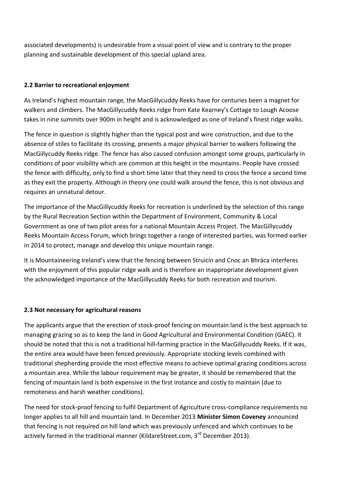associated developments) is undesirable from a visual point of view and is contrary to the proper planning and sustainable development of this special upland area.

#### **2.2 Barrier to recreational enjoyment**

As Ireland's highest mountain range, the MacGillycuddy Reeks have for centuries been a magnet for walkers and climbers. The MacGillycuddy Reeks ridge from Kate Kearney's Cottage to Lough Acoose takes in nine summits over 900m in height and is acknowledged as one of Ireland's finest ridge walks.

The fence in question is slightly higher than the typical post and wire construction, and due to the absence of stiles to facilitate its crossing, presents a major physical barrier to walkers following the MacGillycuddy Reeks ridge. The fence has also caused confusion amongst some groups, particularly in conditions of poor visibility which are common at this height in the mountains. People have crossed the fence with difficulty, only to find a short time later that they need to cross the fence a second time as they exit the property. Although in theory one could walk around the fence, this is not obvious and requires an unnatural detour.

The importance of the MacGillycuddy Reeks for recreation is underlined by the selection of this range by the Rural Recreation Section within the Department of Environment, Community & Local Government as one of two pilot areas for a national Mountain Access Project. The MacGillycuddy Reeks Mountain Access Forum, which brings together a range of interested parties, was formed earlier in 2014 to protect, manage and develop this unique mountain range.

It is Mountaineering Ireland's view that the fencing between Struicín and Cnoc an Bhráca interferes with the enjoyment of this popular ridge walk and is therefore an inappropriate development given the acknowledged importance of the MacGillycuddy Reeks for both recreation and tourism.

#### **2.3 Not necessary for agricultural reasons**

The applicants argue that the erection of stock-proof fencing on mountain land is the best approach to managing grazing so as to keep the land in Good Agricultural and Environmental Condition (GAEC). It should be noted that this is not a traditional hill-farming practice in the MacGillycuddy Reeks. If it was, the entire area would have been fenced previously. Appropriate stocking levels combined with traditional shepherding provide the most effective means to achieve optimal grazing conditions across a mountain area. While the labour requirement may be greater, it should be remembered that the fencing of mountain land is both expensive in the first instance and costly to maintain (due to remoteness and harsh weather conditions).

The need for stock-proof fencing to fulfil Department of Agriculture cross-compliance requirements no longer applies to all hill and mountain land. In December 2013 **Minister Simon Coveney** announced that fencing is not required on hill land which was previously unfenced and which continues to be actively farmed in the traditional manner (KildareStreet.com, 3<sup>rd</sup> December 2013).